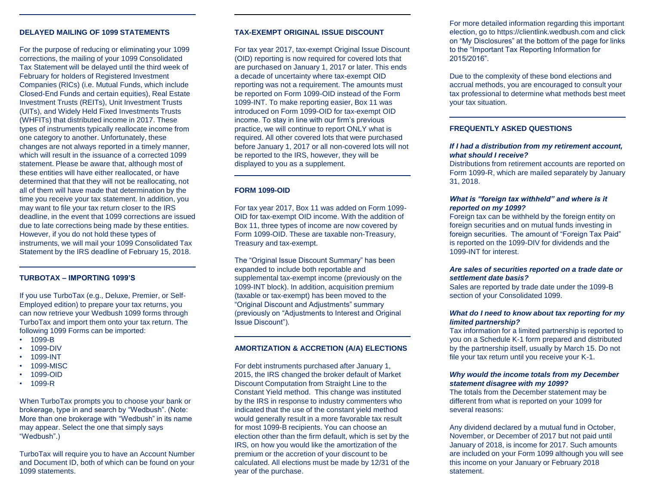#### **DELAYED MAILING OF 1099 STATEMENTS**

For the purpose of reducing or eliminating your 1099 corrections, the mailing of your 1099 Consolidated Tax Statement will be delayed until the third week of February for holders of Registered Investment Companies (RICs) (i.e. Mutual Funds, which include Closed-End Funds and certain equities), Real Estate Investment Trusts (REITs), Unit Investment Trusts (UITs), and Widely Held Fixed Investments Trusts (WHFITs) that distributed income in 2017. These types of instruments typically reallocate income from one category to another. Unfortunately, these changes are not always reported in a timely manner, which will result in the issuance of a corrected 1099 statement. Please be aware that, although most of these entities will have either reallocated, or have determined that that they will not be reallocating, not all of them will have made that determination by the time you receive your tax statement. In addition, you may want to file your tax return closer to the IRS deadline, in the event that 1099 corrections are issued due to late corrections being made by these entities. However, if you do not hold these types of instruments, we will mail your 1099 Consolidated Tax Statement by the IRS deadline of February 15, 2018.

# **TURBOTAX – IMPORTING 1099'S**

If you use TurboTax (e.g., Deluxe, Premier, or Self-Employed edition) to prepare your tax returns, you can now retrieve your Wedbush 1099 forms through TurboTax and import them onto your tax return. The following 1099 Forms can be imported:

- 1099-B
- 1099-DIV
- 1099-INT
- 1099-MISC
- 1099-OID
- 1099-R

When TurboTax prompts you to choose your bank or brokerage, type in and search by "Wedbush". (Note: More than one brokerage with "Wedbush" in its name may appear. Select the one that simply says "Wedbush".)

TurboTax will require you to have an Account Number and Document ID, both of which can be found on your 1099 statements.

### **TAX-EXEMPT ORIGINAL ISSUE DISCOUNT**

For tax year 2017, tax-exempt Original Issue Discount (OID) reporting is now required for covered lots that are purchased on January 1, 2017 or later. This ends a decade of uncertainty where tax-exempt OID reporting was not a requirement. The amounts must be reported on Form 1099-OID instead of the Form 1099-INT. To make reporting easier, Box 11 was introduced on Form 1099-OID for tax-exempt OID income. To stay in line with our firm's previous practice, we will continue to report ONLY what is required. All other covered lots that were purchased before January 1, 2017 or all non-covered lots will not be reported to the IRS, however, they will be displayed to you as a supplement.

#### **FORM 1099-OID**

For tax year 2017, Box 11 was added on Form 1099- OID for tax-exempt OID income. With the addition of Box 11, three types of income are now covered by Form 1099-OID. These are taxable non-Treasury, Treasury and tax-exempt.

The "Original Issue Discount Summary" has been expanded to include both reportable and supplemental tax-exempt income (previously on the 1099-INT block). In addition, acquisition premium (taxable or tax-exempt) has been moved to the "Original Discount and Adjustments" summary (previously on "Adjustments to Interest and Original Issue Discount").

#### **AMORTIZATION & ACCRETION (A/A) ELECTIONS**

For debt instruments purchased after January 1, 2015, the IRS changed the broker default of Market Discount Computation from Straight Line to the Constant Yield method. This change was instituted by the IRS in response to industry commenters who indicated that the use of the constant yield method would generally result in a more favorable tax result for most 1099-B recipients. You can choose an election other than the firm default, which is set by the IRS, on how you would like the amortization of the premium or the accretion of your discount to be calculated. All elections must be made by 12/31 of the year of the purchase.

For more detailed information regarding this important election, go to https://clientlink.wedbush.com and click on "My Disclosures" at the bottom of the page for links to the "Important Tax Reporting Information for 2015/2016".

Due to the complexity of these bond elections and accrual methods, you are encouraged to consult your tax professional to determine what methods best meet your tax situation.

# **FREQUENTLY ASKED QUESTIONS**

#### *If I had a distribution from my retirement account, what should I receive?*

Distributions from retirement accounts are reported on Form 1099-R, which are mailed separately by January 31, 2018.

# *What is "foreign tax withheld" and where is it reported on my 1099?*

Foreign tax can be withheld by the foreign entity on foreign securities and on mutual funds investing in foreign securities. The amount of "Foreign Tax Paid" is reported on the 1099-DIV for dividends and the 1099-INT for interest.

### *Are sales of securities reported on a trade date or settlement date basis?*

Sales are reported by trade date under the 1099-B section of your Consolidated 1099.

# *What do I need to know about tax reporting for my limited partnership?*

Tax information for a limited partnership is reported to you on a Schedule K-1 form prepared and distributed by the partnership itself, usually by March 15. Do not file your tax return until you receive your K-1.

# *Why would the income totals from my December statement disagree with my 1099?*

The totals from the December statement may be different from what is reported on your 1099 for several reasons:

Any dividend declared by a mutual fund in October, November, or December of 2017 but not paid until January of 2018, is income for 2017. Such amounts are included on your Form 1099 although you will see this income on your January or February 2018 statement.